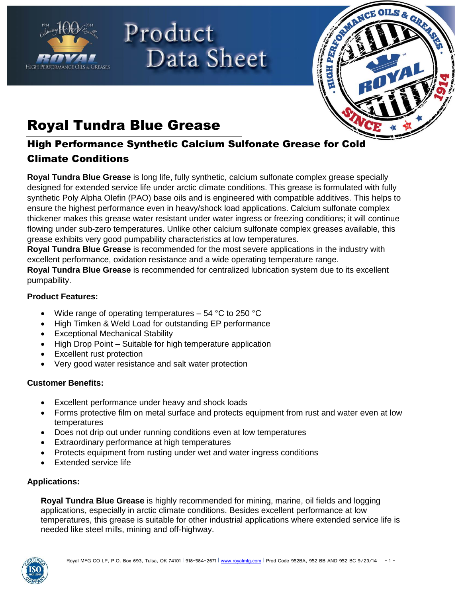

# Product Data Sheet



## Royal Tundra Blue Grease

## High Performance Synthetic Calcium Sulfonate Grease for Cold Climate Conditions

**Royal Tundra Blue Grease** is long life, fully synthetic, calcium sulfonate complex grease specially designed for extended service life under arctic climate conditions. This grease is formulated with fully synthetic Poly Alpha Olefin (PAO) base oils and is engineered with compatible additives. This helps to ensure the highest performance even in heavy/shock load applications. Calcium sulfonate complex thickener makes this grease water resistant under water ingress or freezing conditions; it will continue flowing under sub-zero temperatures. Unlike other calcium sulfonate complex greases available, this grease exhibits very good pumpability characteristics at low temperatures.

**Royal Tundra Blue Grease** is recommended for the most severe applications in the industry with excellent performance, oxidation resistance and a wide operating temperature range. **Royal Tundra Blue Grease** is recommended for centralized lubrication system due to its excellent pumpability.

#### **Product Features:**

- Wide range of operating temperatures 54 °C to 250 °C
- High Timken & Weld Load for outstanding EP performance
- **Exceptional Mechanical Stability**
- High Drop Point Suitable for high temperature application
- Excellent rust protection
- Very good water resistance and salt water protection

### **Customer Benefits:**

- Excellent performance under heavy and shock loads
- Forms protective film on metal surface and protects equipment from rust and water even at low temperatures
- Does not drip out under running conditions even at low temperatures
- Extraordinary performance at high temperatures
- Protects equipment from rusting under wet and water ingress conditions
- Extended service life

### **Applications:**

**Royal Tundra Blue Grease** is highly recommended for mining, marine, oil fields and logging applications, especially in arctic climate conditions. Besides excellent performance at low temperatures, this grease is suitable for other industrial applications where extended service life is needed like steel mills, mining and off-highway.